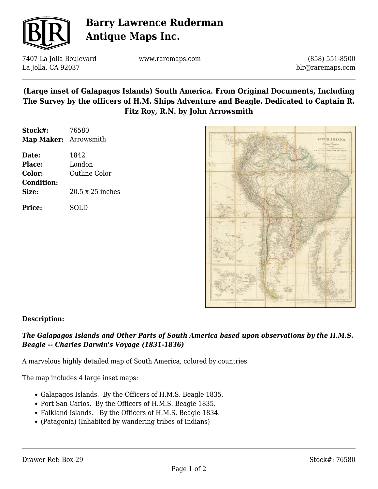

# **Barry Lawrence Ruderman Antique Maps Inc.**

7407 La Jolla Boulevard La Jolla, CA 92037

www.raremaps.com

(858) 551-8500 blr@raremaps.com

## **(Large inset of Galapagos Islands) South America. From Original Documents, Including The Survey by the officers of H.M. Ships Adventure and Beagle. Dedicated to Captain R. Fitz Roy, R.N. by John Arrowsmith**

| Stock#:               | 76580            |
|-----------------------|------------------|
| Map Maker: Arrowsmith |                  |
| Date:                 | 1842             |
| Place:                | London           |
| Color:                | Outline Color    |
| <b>Condition:</b>     |                  |
| Size:                 | 20.5 x 25 inches |
| <b>Price:</b>         | SOLD             |



### **Description:**

### *The Galapagos Islands and Other Parts of South America based upon observations by the H.M.S. Beagle -- Charles Darwin's Voyage (1831-1836)*

A marvelous highly detailed map of South America, colored by countries.

The map includes 4 large inset maps:

- Galapagos Islands. By the Officers of H.M.S. Beagle 1835.
- Port San Carlos. By the Officers of H.M.S. Beagle 1835.
- Falkland Islands. By the Officers of H.M.S. Beagle 1834.
- (Patagonia) (Inhabited by wandering tribes of Indians)